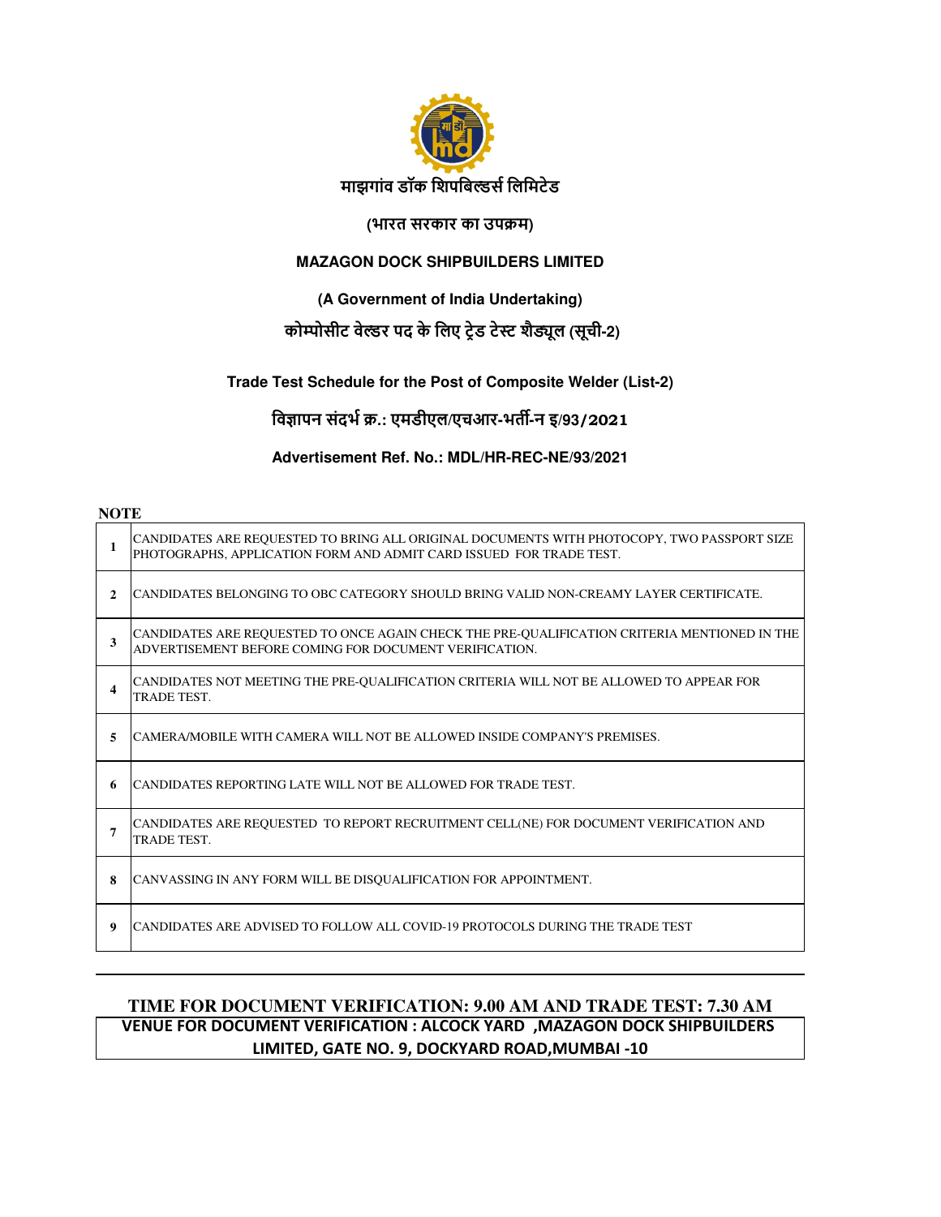

#### **(भारत सरकार का उपम)**

### **MAZAGON DOCK SHIPBUILDERS LIMITED**

# **(A Government of India Undertaking)**

# **कोोसीट वेर पद के िलए टेड टे शै"ूल (सूची-2)**

#### **Trade Test Schedule for the Post of Composite Welder (List-2)**

**िव%ापन संदभ .: एमडीएल/एचआर-भत(-न इ/93/2021**

#### **Advertisement Ref. No.: MDL/HR-REC-NE/93/2021**

#### **NOTE**

| 1            | CANDIDATES ARE REQUESTED TO BRING ALL ORIGINAL DOCUMENTS WITH PHOTOCOPY, TWO PASSPORT SIZE<br>PHOTOGRAPHS, APPLICATION FORM AND ADMIT CARD ISSUED FOR TRADE TEST. |
|--------------|-------------------------------------------------------------------------------------------------------------------------------------------------------------------|
| $\mathbf{2}$ | CANDIDATES BELONGING TO OBC CATEGORY SHOULD BRING VALID NON-CREAMY LAYER CERTIFICATE.                                                                             |
| 3            | CANDIDATES ARE REQUESTED TO ONCE AGAIN CHECK THE PRE-QUALIFICATION CRITERIA MENTIONED IN THE<br>ADVERTISEMENT BEFORE COMING FOR DOCUMENT VERIFICATION.            |
| 4            | CANDIDATES NOT MEETING THE PRE-QUALIFICATION CRITERIA WILL NOT BE ALLOWED TO APPEAR FOR<br>TRADE TEST.                                                            |
| 5            | CAMERA/MOBILE WITH CAMERA WILL NOT BE ALLOWED INSIDE COMPANY'S PREMISES.                                                                                          |
| 6            | CANDIDATES REPORTING LATE WILL NOT BE ALLOWED FOR TRADE TEST.                                                                                                     |
| 7            | CANDIDATES ARE REQUESTED TO REPORT RECRUITMENT CELL(NE) FOR DOCUMENT VERIFICATION AND<br><b>TRADE TEST.</b>                                                       |
| 8            | CANVASSING IN ANY FORM WILL BE DISQUALIFICATION FOR APPOINTMENT.                                                                                                  |
| 9            | CANDIDATES ARE ADVISED TO FOLLOW ALL COVID-19 PROTOCOLS DURING THE TRADE TEST                                                                                     |

# **TIME FOR DOCUMENT VERIFICATION: 9.00 AM AND TRADE TEST: 7.30 AM VENUE FOR DOCUMENT VERIFICATION : ALCOCK YARD ,MAZAGON DOCK SHIPBUILDERS LIMITED, GATE NO. 9, DOCKYARD ROAD,MUMBAI -10**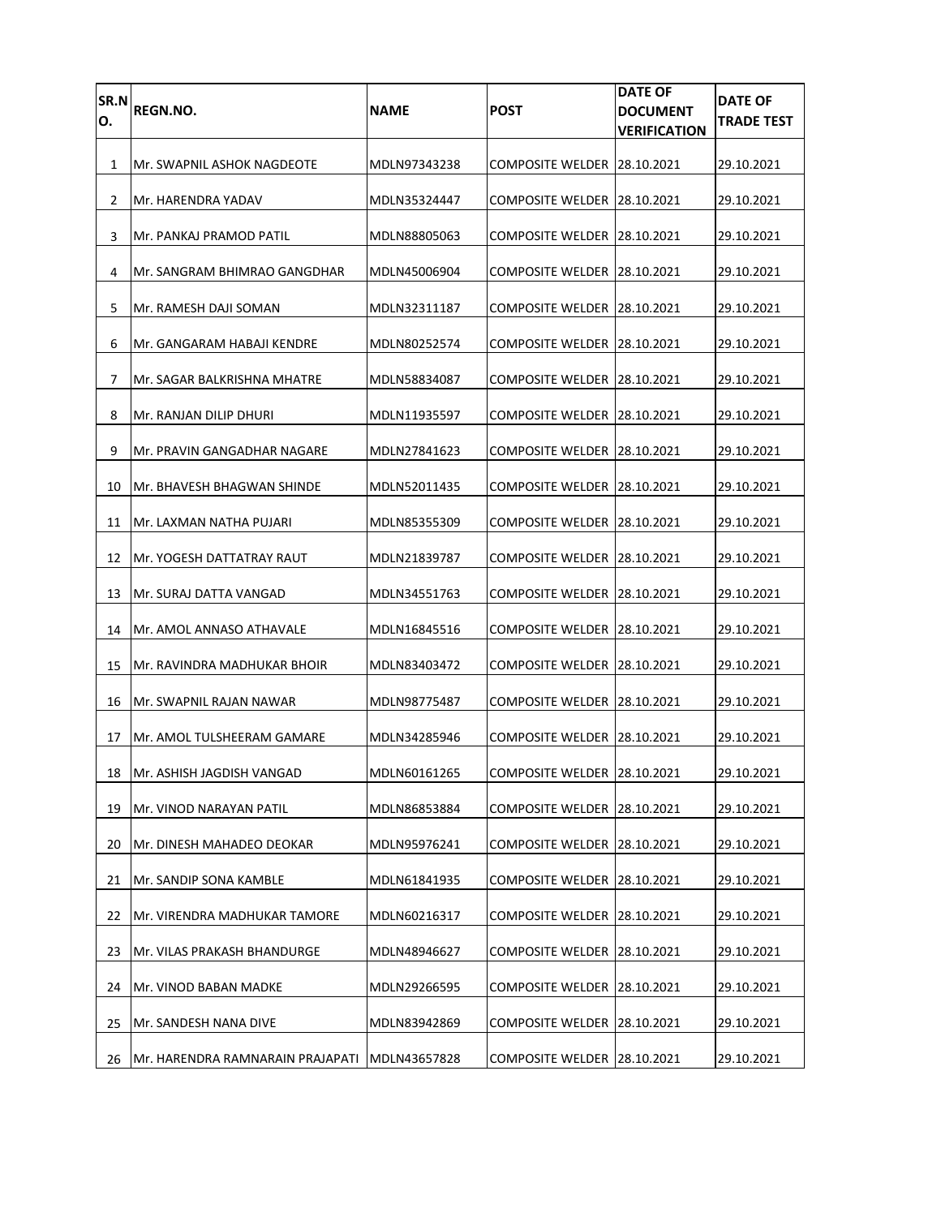| SR.N<br>Ο. | <b>REGN.NO.</b>                  | <b>NAME</b>  | <b>POST</b>                   | <b>DATE OF</b><br><b>DOCUMENT</b><br><b>VERIFICATION</b> | <b>DATE OF</b><br><b>TRADE TEST</b> |
|------------|----------------------------------|--------------|-------------------------------|----------------------------------------------------------|-------------------------------------|
| 1          | Mr. SWAPNIL ASHOK NAGDEOTE       | MDLN97343238 | COMPOSITE WELDER 128.10.2021  |                                                          | 29.10.2021                          |
| 2          | Mr. HARENDRA YADAV               | MDLN35324447 | COMPOSITE WELDER 28.10.2021   |                                                          | 29.10.2021                          |
| 3          | Mr. PANKAJ PRAMOD PATIL          | MDLN88805063 | COMPOSITE WELDER 28.10.2021   |                                                          | 29.10.2021                          |
| 4          | Mr. SANGRAM BHIMRAO GANGDHAR     | MDLN45006904 | COMPOSITE WELDER 28.10.2021   |                                                          | 29.10.2021                          |
| 5          | Mr. RAMESH DAJI SOMAN            | MDLN32311187 | COMPOSITE WELDER 28.10.2021   |                                                          | 29.10.2021                          |
| 6          | Mr. GANGARAM HABAJI KENDRE       | MDLN80252574 | COMPOSITE WELDER 28.10.2021   |                                                          | 29.10.2021                          |
| 7          | Mr. SAGAR BALKRISHNA MHATRE      | MDLN58834087 | COMPOSITE WELDER 128.10.2021  |                                                          | 29.10.2021                          |
| 8          | Mr. RANJAN DILIP DHURI           | MDLN11935597 | COMPOSITE WELDER 128.10.2021  |                                                          | 29.10.2021                          |
| 9          | Mr. PRAVIN GANGADHAR NAGARE      | MDLN27841623 | COMPOSITE WELDER 28.10.2021   |                                                          | 29.10.2021                          |
| 10         | Mr. BHAVESH BHAGWAN SHINDE       | MDLN52011435 | COMPOSITE WELDER 128.10.2021  |                                                          | 29.10.2021                          |
| 11         | Mr. LAXMAN NATHA PUJARI          | MDLN85355309 | COMPOSITE WELDER 28.10.2021   |                                                          | 29.10.2021                          |
| 12         | IMr. YOGESH DATTATRAY RAUT       | MDLN21839787 | COMPOSITE WELDER 28.10.2021   |                                                          | 29.10.2021                          |
| 13         | Mr. SURAJ DATTA VANGAD           | MDLN34551763 | COMPOSITE WELDER 128.10.2021  |                                                          | 29.10.2021                          |
| 14         | Mr. AMOL ANNASO ATHAVALE         | MDLN16845516 | COMPOSITE WELDER 28.10.2021   |                                                          | 29.10.2021                          |
| 15         | IMr. RAVINDRA MADHUKAR BHOIR     | MDLN83403472 | COMPOSITE WELDER 128.10.2021  |                                                          | 29.10.2021                          |
| 16         | Mr. SWAPNIL RAJAN NAWAR          | MDLN98775487 | COMPOSITE WELDER 28.10.2021   |                                                          | 29.10.2021                          |
| 17         | Mr. AMOL TULSHEERAM GAMARE       | MDLN34285946 | COMPOSITE WELDER 128.10.2021  |                                                          | 29.10.2021                          |
| 18         | Mr. ASHISH JAGDISH VANGAD        | MDLN60161265 | COMPOSITE WELDER 28.10.2021   |                                                          | 29.10.2021                          |
| 19         | Mr. VINOD NARAYAN PATIL          | MDLN86853884 | COMPOSITE WELDER 28.10.2021   |                                                          | 29.10.2021                          |
| 20         | Mr. DINESH MAHADEO DEOKAR        | MDLN95976241 | COMPOSITE WELDER 28.10.2021   |                                                          | 29.10.2021                          |
| 21         | Mr. SANDIP SONA KAMBLE           | MDLN61841935 | COMPOSITE WELDER   28.10.2021 |                                                          | 29.10.2021                          |
| 22         | JMr. VIRENDRA MADHUKAR TAMORE    | MDLN60216317 | COMPOSITE WELDER 28.10.2021   |                                                          | 29.10.2021                          |
| 23         | Mr. VILAS PRAKASH BHANDURGE      | MDLN48946627 | COMPOSITE WELDER   28.10.2021 |                                                          | 29.10.2021                          |
| 24         | Mr. VINOD BABAN MADKE            | MDLN29266595 | COMPOSITE WELDER 28.10.2021   |                                                          | 29.10.2021                          |
| 25         | Mr. SANDESH NANA DIVE            | MDLN83942869 | <b>COMPOSITE WELDER</b>       | 28.10.2021                                               | 29.10.2021                          |
| 26         | Mr. HARENDRA RAMNARAIN PRAJAPATI | MDLN43657828 | COMPOSITE WELDER 28.10.2021   |                                                          | 29.10.2021                          |